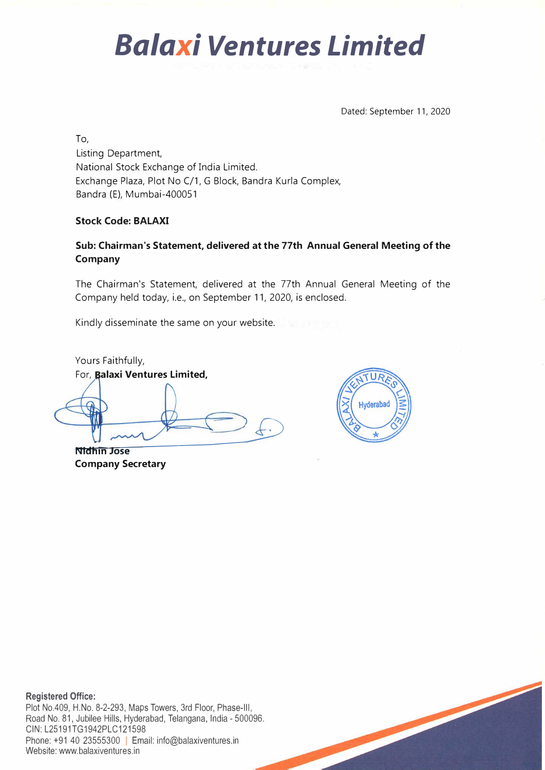Dated: September 11, 2020

To,

Listing Department, National Stock Exchange of India Limited. Exchange Plaza, Plot No C/1, G Block, Bandra Kurla Complex, Bandra (E) , Mumbai-400051

#### **Stock Code: BALAXI**

#### **Sub: Chairman's Statement, delivered at the 77th Annual General Meeting of the Company**

The Chairman's Statement, delivered at the 77th Annual General Meeting of the Company held today, i.e., on September 11, 2020, is enclosed.

Kindly disseminate the same on your website.

Yours Faithfully, For, **alaxi Ventures Limited,** 

**Nldh** �**m Jose** ---=---->\_£)

**Company Secretary** 



**Registered Office:**  Plot No.409, H.No. 8-2-293, Maps Towers, 3rd Floor, Phase-Ill, Road No. 81, Jubilee Hills, Hyderabad, Telangana, India - 500096. CIN: L25191TG1942PLC121598 Phone: +91 40 23555300 | Email: info@balaxiventures.in Website: www.balaxiventures.in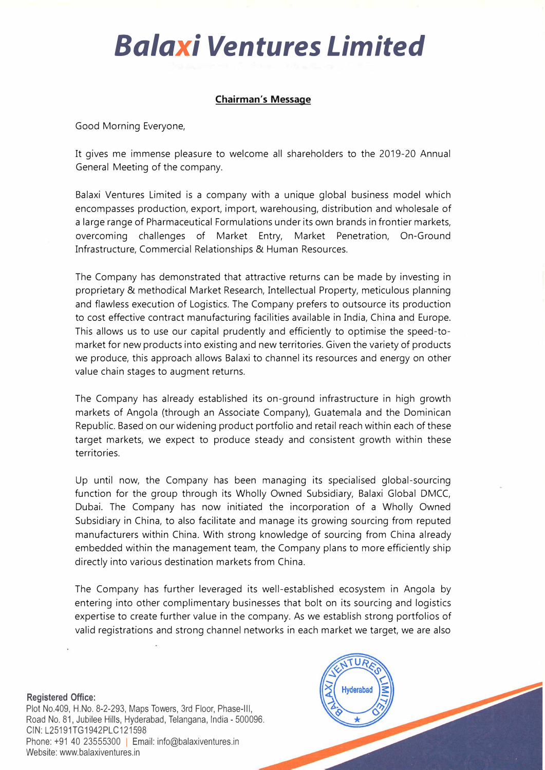#### **Chairman's Message**

Good Morning Everyone,

It gives me immense pleasure to welcome all shareholders to the 2019-20 Annual General Meeting of the company.

Balaxi Ventures Limited is a company with a unique global business model which encompasses production, export, import, warehousing, distribution and wholesale of a large range of Pharmaceutical Formulations under its own brands in frontier markets, overcoming challenges of Market Entry, Market Penetration, On-Ground Infrastructure, Commercial Relationships & Human Resources.

The Company has demonstrated that attractive returns can be made by investing in proprietary & methodical Market Research, Intellectual Property, meticulous planning and flawless execution of Logistics. The Company prefers to outsource its production to cost effective contract manufacturing facilities available in India, China and Europe. This allows us to use our capital prudently and efficiently to optimise the speed-tomarket for new products into existing and new territories. Given the variety of products we produce, this approach allows Balaxi to channel its resources and energy on other value chain stages to augment returns.

The Company has already established its on-ground infrastructure in high growth markets of Angola (through an Associate Company), Guatemala and the Dominican Republic. Based on our widening product portfolio and retail reach within each of these target markets, we expect to produce steady and consistent growth within these territories.

Up until now, the Company has been managing its specialised global-sourcing function for the group through its Wholly Owned Subsidiary, Balaxi Global DMCC, Dubai. The Company has now initiated the incorporation of a Wholly Owned Subsidiary in China, to also facilitate and manage its growing sourcing from reputed manufacturers within China. With strong knowledge of sourcing from China already embedded within the management team, the Company plans to more efficiently ship directly into various destination markets from China.

The Company has further leveraged its well-established ecosystem in Angola by entering into other complimentary businesses that bolt on its sourcing and logistics expertise to create further value in the company. As we establish strong portfolios of valid registrations and strong channel networks in each market we target, we are also

**Registered Office:**  Plot No.409, H.No. 8-2-293, Maps Towers, 3rd Floor, Phase-Ill, Road No. 81, Jubilee Hills, Hyderabad, Telangana, India - 500096. CIN: L25191TG1942PLC121598 Phone:  $+91$  40 23555300 | Email: info@balaxiventures.in Website: www.balaxiventures.in

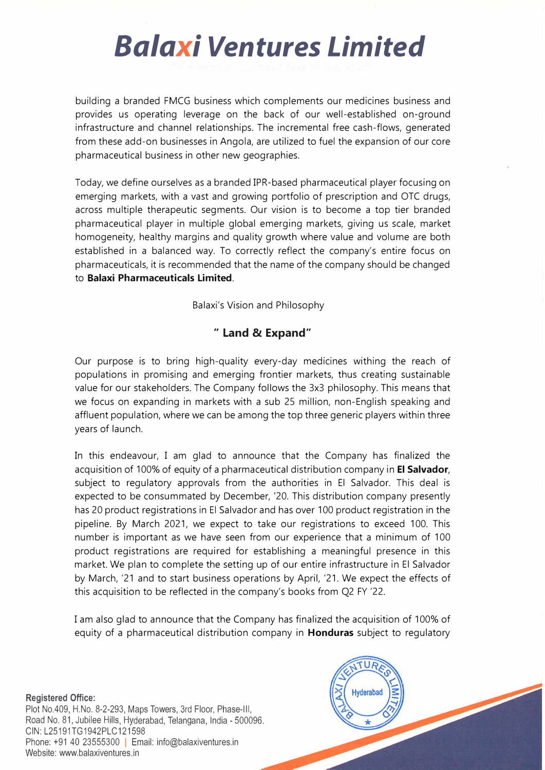building a branded FMCG business which complements our medicines business and provides us operating leverage on the back of our well-established on-ground infrastructure and channel relationships. The incremental free cash-flows, generated from these add-on businesses in Angola, are utilized to fuel the expansion of our core pharmaceutical business in other new geographies.

Today, we define ourselves as a branded IPR-based pharmaceutical player focusing on emerging markets, with a vast and growing portfolio of prescription and OTC drugs, across multiple therapeutic segments. Our vision is to become a top tier branded pharmaceutical player in multiple global emerging markets, giving us scale, market homogeneity, healthy margins and quality growth where value and volume are both established in a balanced way. To correctly reflect the company's entire focus on pharmaceuticals, it is recommended that the name of the company should be changed to **Balaxi Pharmaceuticals Limited.** 

Balaxi's Vision and Philosophy

### **" Land & Expand"**

Our purpose is to bring high-quality every-day medicines withing the reach of populations in promising and emerging frontier markets, thus creating sustainable value for our stakeholders. The Company follows the 3x3 philosophy. This means that we focus on expanding in markets with a sub 25 million, non-English speaking and affluent population, where we can be among the top three generic players within three years of launch.

In this endeavour, I am glad to announce that the Company has finalized the acquisition of 100% of equity of a pharmaceutical distribution company in **El Salvador,**  subject to regulatory approvals from the authorities in El Salvador. This deal is expected to be consummated by December, '20. This distribution company presently has 20 product registrations in El Salvador and has over 100 product registration in the pipeline. By March 2021, we expect to take our registrations to exceed 100. This number is important as we have seen from our experience that a minimum of 100 product registrations are required for establishing a meaningful presence in this market. We plan to complete the setting up of our entire infrastructure in El Salvador by March, '21 and to start business operations by April, '21. We expect the effects of this acquisition to be reflected in the company's books from Q2 FY '22.

I am also glad to announce that the Company has finalized the acquisition of 100% of equity of a pharmaceutical distribution company in **Honduras** subject to regulatory

**Registered Office:**  Plot No.409, H.No. 8-2-293, Maps Towers, 3rd Floor, Phase-Ill, Road No. 81, Jubilee Hills, Hyderabad, Telangana, India - 500096. CIN:L25191TG1942PLC121598 Phone: +91 40 23555300 | Email: info@balaxiventures.in Website: www.balaxiventures.in